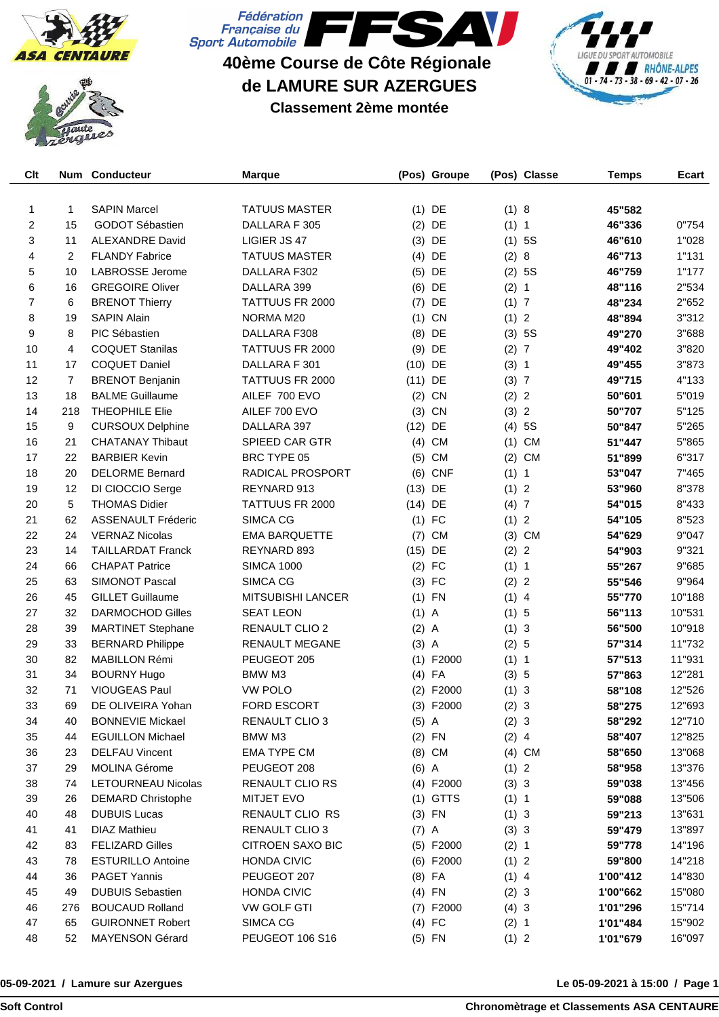





**40ème Course de Côte Régionale de LAMURE SUR AZERGUES**

**Classement 2ème montée**



| Clt |                | Num Conducteur            | <b>Marque</b>            |           | (Pos) Groupe |         | (Pos) Classe   | <b>Temps</b> | Ecart  |
|-----|----------------|---------------------------|--------------------------|-----------|--------------|---------|----------------|--------------|--------|
|     |                |                           |                          |           |              |         |                |              |        |
| 1   | 1              | <b>SAPIN Marcel</b>       | <b>TATUUS MASTER</b>     |           | $(1)$ DE     | (1) 8   |                | 45"582       |        |
| 2   | 15             | GODOT Sébastien           | DALLARA F 305            |           | $(2)$ DE     | (1) 1   |                | 46"336       | 0"754  |
| 3   | 11             | <b>ALEXANDRE David</b>    | LIGIER JS 47             | (3)       | DE           |         | $(1)$ 5S       | 46"610       | 1"028  |
| 4   | $\overline{2}$ | <b>FLANDY Fabrice</b>     | <b>TATUUS MASTER</b>     |           | $(4)$ DE     | (2)     | 8              | 46"713       | 1"131  |
| 5   | 10             | <b>LABROSSE Jerome</b>    | DALLARA F302             |           | $(5)$ DE     |         | (2) 5S         | 46"759       | 1"177  |
| 6   | 16             | <b>GREGOIRE Oliver</b>    | DALLARA 399              |           | $(6)$ DE     | (2) 1   |                | 48"116       | 2"534  |
| 7   | 6              | <b>BRENOT Thierry</b>     | <b>TATTUUS FR 2000</b>   | (7)       | DE           | (1) 7   |                | 48"234       | 2"652  |
| 8   | 19             | <b>SAPIN Alain</b>        | NORMA M20                | (1)       | CN           | (1) 2   |                | 48"894       | 3"312  |
| 9   | 8              | PIC Sébastien             | DALLARA F308             | (8)       | DE           |         | (3) 5S         | 49"270       | 3"688  |
| 10  | 4              | <b>COQUET Stanilas</b>    | TATTUUS FR 2000          | (9)       | DE           | (2) 7   |                | 49"402       | 3"820  |
| 11  | 17             | <b>COQUET Daniel</b>      | DALLARA F 301            | $(10)$ DE |              | (3) 1   |                | 49"455       | 3"873  |
| 12  | $\overline{7}$ | <b>BRENOT Benjanin</b>    | TATTUUS FR 2000          | $(11)$ DE |              | (3) 7   |                | 49"715       | 4"133  |
| 13  | 18             | <b>BALME Guillaume</b>    | AILEF 700 EVO            |           | $(2)$ CN     | (2) 2   |                | 50"601       | 5"019  |
| 14  | 218            | <b>THEOPHILE Elie</b>     | AILEF 700 EVO            | (3)       | CN           | (3) 2   |                | 50"707       | 5"125  |
| 15  | 9              | <b>CURSOUX Delphine</b>   | DALLARA 397              | $(12)$ DE |              |         | (4) 5S         | 50"847       | 5"265  |
| 16  | 21             | <b>CHATANAY Thibaut</b>   | <b>SPIEED CAR GTR</b>    |           | $(4)$ CM     | (1)     | CM             | 51"447       | 5"865  |
| 17  | 22             | <b>BARBIER Kevin</b>      | BRC TYPE 05              | (5)       | <b>CM</b>    | (2)     | <b>CM</b>      | 51"899       | 6"317  |
| 18  | 20             | <b>DELORME Bernard</b>    | <b>RADICAL PROSPORT</b>  | (6)       | <b>CNF</b>   | (1) 1   |                | 53"047       | 7"465  |
| 19  | 12             | DI CIOCCIO Serge          | REYNARD 913              | $(13)$ DE |              | (1) 2   |                | 53"960       | 8"378  |
| 20  | 5              | <b>THOMAS Didier</b>      | TATTUUS FR 2000          | $(14)$ DE |              | (4)7    |                | 54"015       | 8"433  |
| 21  | 62             | <b>ASSENAULT Fréderic</b> | SIMCA CG                 |           | $(1)$ FC     | (1) 2   |                | 54"105       | 8"523  |
| 22  | 24             | <b>VERNAZ Nicolas</b>     | <b>EMA BARQUETTE</b>     | (7)       | <b>CM</b>    |         | $(3)$ CM       | 54"629       | 9"047  |
| 23  | 14             | <b>TAILLARDAT Franck</b>  | REYNARD 893              | $(15)$ DE |              | (2) 2   |                | 54"903       | 9"321  |
| 24  | 66             | <b>CHAPAT Patrice</b>     | <b>SIMCA 1000</b>        |           | $(2)$ FC     | (1) 1   |                | 55"267       | 9"685  |
| 25  | 63             | <b>SIMONOT Pascal</b>     | SIMCA CG                 |           | $(3)$ FC     | (2)     | $\overline{2}$ | 55"546       | 9"964  |
| 26  | 45             | <b>GILLET Guillaume</b>   | <b>MITSUBISHI LANCER</b> |           | $(1)$ FN     | $(1)$ 4 |                | 55"770       | 10"188 |
| 27  | 32             | <b>DARMOCHOD Gilles</b>   | <b>SEAT LEON</b>         | $(1)$ A   |              | (1) 5   |                | 56"113       | 10"531 |
| 28  | 39             | <b>MARTINET Stephane</b>  | RENAULT CLIO 2           | $(2)$ A   |              | (1) 3   |                | 56"500       | 10"918 |
| 29  | 33             | <b>BERNARD Philippe</b>   | <b>RENAULT MEGANE</b>    | $(3)$ A   |              | (2) 5   |                | 57"314       | 11"732 |
| 30  | 82             | <b>MABILLON Rémi</b>      | PEUGEOT 205              |           | $(1)$ F2000  | (1) 1   |                | 57"513       | 11"931 |
| 31  | 34             | <b>BOURNY Hugo</b>        | BMW M3                   |           | $(4)$ FA     | (3) 5   |                | 57"863       | 12"281 |
| 32  | 71             | <b>VIOUGEAS Paul</b>      | <b>VW POLO</b>           | (2)       | F2000        | (1) 3   |                | 58"108       | 12"526 |
| 33  | 69             | DE OLIVEIRA Yohan         | <b>FORD ESCORT</b>       |           | $(3)$ F2000  | (2) 3   |                | 58"275       | 12"693 |
| 34  | 40             | <b>BONNEVIE Mickael</b>   | RENAULT CLIO 3           | $(5)$ A   |              | (2) 3   |                | 58"292       | 12"710 |
| 35  | 44             | <b>EGUILLON Michael</b>   | BMW M3                   |           | $(2)$ FN     | $(2)$ 4 |                | 58"407       | 12"825 |
| 36  | 23             | <b>DELFAU Vincent</b>     | <b>EMA TYPE CM</b>       |           | (8) CM       |         | $(4)$ CM       | 58"650       | 13"068 |
| 37  | 29             | <b>MOLINA Gérome</b>      | PEUGEOT 208              | $(6)$ A   |              | (1) 2   |                | 58"958       | 13"376 |
| 38  | 74             | <b>LETOURNEAU Nicolas</b> | <b>RENAULT CLIO RS</b>   |           | (4) F2000    | (3) 3   |                | 59"038       | 13"456 |
| 39  | 26             | <b>DEMARD Christophe</b>  | <b>MITJET EVO</b>        |           | $(1)$ GTTS   | (1) 1   |                | 59"088       | 13"506 |
| 40  | 48             | <b>DUBUIS Lucas</b>       | RENAULT CLIO RS          |           | $(3)$ FN     | (1) 3   |                | 59"213       | 13"631 |
| 41  | 41             | DIAZ Mathieu              | RENAULT CLIO 3           | $(7)$ A   |              | (3) 3   |                | 59"479       | 13"897 |
| 42  | 83             | <b>FELIZARD Gilles</b>    | <b>CITROEN SAXO BIC</b>  |           | $(5)$ F2000  | (2) 1   |                | 59"778       | 14"196 |
| 43  | 78             | <b>ESTURILLO Antoine</b>  | <b>HONDA CIVIC</b>       |           | $(6)$ F2000  | (1) 2   |                | 59"800       | 14"218 |
| 44  | 36             | <b>PAGET Yannis</b>       | PEUGEOT 207              |           | $(8)$ FA     | $(1)$ 4 |                | 1'00"412     | 14"830 |
| 45  | 49             | <b>DUBUIS Sebastien</b>   | <b>HONDA CIVIC</b>       |           | $(4)$ FN     | (2) 3   |                | 1'00"662     | 15"080 |
| 46  | 276            | <b>BOUCAUD Rolland</b>    | VW GOLF GTI              |           | $(7)$ F2000  | (4) 3   |                | 1'01"296     | 15"714 |
| 47  | 65             | <b>GUIRONNET Robert</b>   | SIMCA CG                 |           | $(4)$ FC     | (2) 1   |                | 1'01"484     | 15"902 |
| 48  | 52             | MAYENSON Gérard           | <b>PEUGEOT 106 S16</b>   |           | $(5)$ FN     | (1) 2   |                | 1'01"679     | 16"097 |

## **05-09-2021 / Lamure sur Azergues**